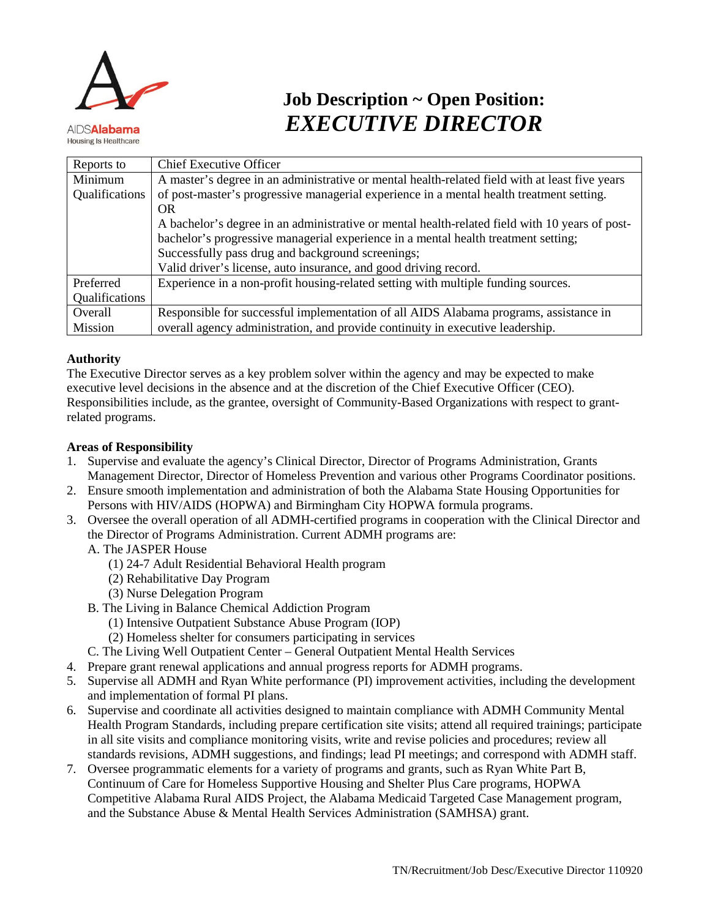

# **Job Description ~ Open Position:** *EXECUTIVE DIRECTOR*

| Reports to     | <b>Chief Executive Officer</b>                                                                 |
|----------------|------------------------------------------------------------------------------------------------|
| Minimum        | A master's degree in an administrative or mental health-related field with at least five years |
| Qualifications | of post-master's progressive managerial experience in a mental health treatment setting.       |
|                | OR.                                                                                            |
|                | A bachelor's degree in an administrative or mental health-related field with 10 years of post- |
|                | bachelor's progressive managerial experience in a mental health treatment setting;             |
|                | Successfully pass drug and background screenings;                                              |
|                | Valid driver's license, auto insurance, and good driving record.                               |
| Preferred      | Experience in a non-profit housing-related setting with multiple funding sources.              |
| Qualifications |                                                                                                |
| Overall        | Responsible for successful implementation of all AIDS Alabama programs, assistance in          |
| Mission        | overall agency administration, and provide continuity in executive leadership.                 |

### **Authority**

The Executive Director serves as a key problem solver within the agency and may be expected to make executive level decisions in the absence and at the discretion of the Chief Executive Officer (CEO). Responsibilities include, as the grantee, oversight of Community-Based Organizations with respect to grantrelated programs.

## **Areas of Responsibility**

- 1. Supervise and evaluate the agency's Clinical Director, Director of Programs Administration, Grants Management Director, Director of Homeless Prevention and various other Programs Coordinator positions.
- 2. Ensure smooth implementation and administration of both the Alabama State Housing Opportunities for Persons with HIV/AIDS (HOPWA) and Birmingham City HOPWA formula programs.
- 3. Oversee the overall operation of all ADMH-certified programs in cooperation with the Clinical Director and the Director of Programs Administration. Current ADMH programs are:
	- A. The JASPER House
		- (1) 24-7 Adult Residential Behavioral Health program
		- (2) Rehabilitative Day Program
		- (3) Nurse Delegation Program
	- B. The Living in Balance Chemical Addiction Program
		- (1) Intensive Outpatient Substance Abuse Program (IOP)
		- (2) Homeless shelter for consumers participating in services
	- C. The Living Well Outpatient Center General Outpatient Mental Health Services
- 4. Prepare grant renewal applications and annual progress reports for ADMH programs.
- 5. Supervise all ADMH and Ryan White performance (PI) improvement activities, including the development and implementation of formal PI plans.
- 6. Supervise and coordinate all activities designed to maintain compliance with ADMH Community Mental Health Program Standards, including prepare certification site visits; attend all required trainings; participate in all site visits and compliance monitoring visits, write and revise policies and procedures; review all standards revisions, ADMH suggestions, and findings; lead PI meetings; and correspond with ADMH staff.
- 7. Oversee programmatic elements for a variety of programs and grants, such as Ryan White Part B, Continuum of Care for Homeless Supportive Housing and Shelter Plus Care programs, HOPWA Competitive Alabama Rural AIDS Project, the Alabama Medicaid Targeted Case Management program, and the Substance Abuse & Mental Health Services Administration (SAMHSA) grant.